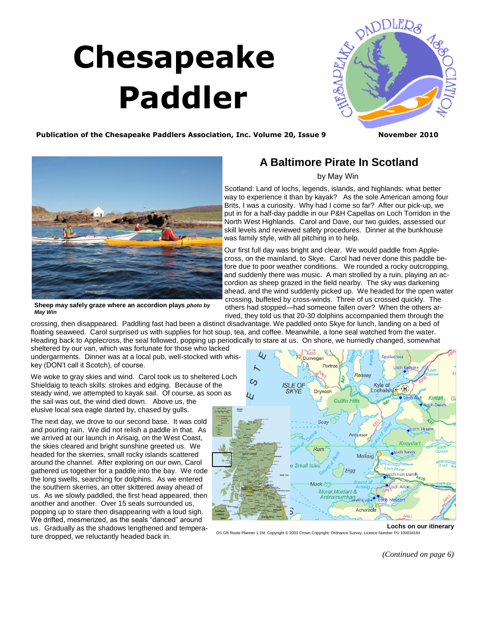## <span id="page-0-0"></span> **Chesapeake Paddler**



Publication of the Chesapeake Paddlers Association, Inc. Volume 20, Issue 9 November 2010



**Sheep may safely graze where an accordion plays** *photo by May Win* 

## **A Baltimore Pirate In Scotland**

## by May Win

Scotland: Land of lochs, legends, islands, and highlands: what better way to experience it than by kayak? As the sole American among four Brits, I was a curiosity. Why had I come so far? After our pick-up, we put in for a half-day paddle in our P&H Capellas on Loch Torridon in the North West Highlands. Carol and Dave, our two guides, assessed our skill levels and reviewed safety procedures. Dinner at the bunkhouse was family style, with all pitching in to help.

Our first full day was bright and clear. We would paddle from Applecross, on the mainland, to Skye. Carol had never done this paddle before due to poor weather conditions. We rounded a rocky outcropping, and suddenly there was music. A man strolled by a ruin, playing an accordion as sheep grazed in the field nearby. The sky was darkening ahead, and the wind suddenly picked up. We headed for the open water crossing, buffeted by cross-winds. Three of us crossed quickly. The others had stopped—had someone fallen over? When the others arrived, they told us that 20-30 dolphins accompanied them through the

crossing, then disappeared. Paddling fast had been a distinct disadvantage. We paddled onto Skye for lunch, landing on a bed of floating seaweed. Carol surprised us with supplies for hot soup, tea, and coffee. Meanwhile, a lone seal watched from the water. Heading back to Applecross, the seal followed, popping up periodically to stare at us. On shore, we hurriedly changed, somewhat

sheltered by our van, which was fortunate for those who lacked undergarments. Dinner was at a local pub, well-stocked with whiskey (DON't call it Scotch), of course.

We woke to gray skies and wind. Carol took us to sheltered Loch Shieldaig to teach skills: strokes and edging. Because of the steady wind, we attempted to kayak sail. Of course, as soon as the sail was out, the wind died down. Above us, the elusive local sea eagle darted by, chased by gulls.

The next day, we drove to our second base. It was cold and pouring rain. We did not relish a paddle in that. As we arrived at our launch in Arisaig, on the West Coast, the skies cleared and bright sunshine greeted us. We headed for the skerries, small rocky islands scattered around the channel. After exploring on our own, Carol gathered us together for a paddle into the bay. We rode the long swells, searching for dolphins. As we entered the southern skerries, an otter skittered away ahead of us. As we slowly paddled, the first head appeared, then another and another. Over 15 seals surrounded us, popping up to stare then disappearing with a loud sigh. We drifted, mesmerized, as the seals "danced" around us. Gradually as the shadows lengthened and temperature dropped, we reluctantly headed back in.



**Lochs on our itinerary** 

OS GB Route Planner 1:1M. Copyright © 2003 Crown Copyright; Ordnance Survey, Licence Number PU 100034184

*[\(Continued on page 6\)](#page-1-0)*